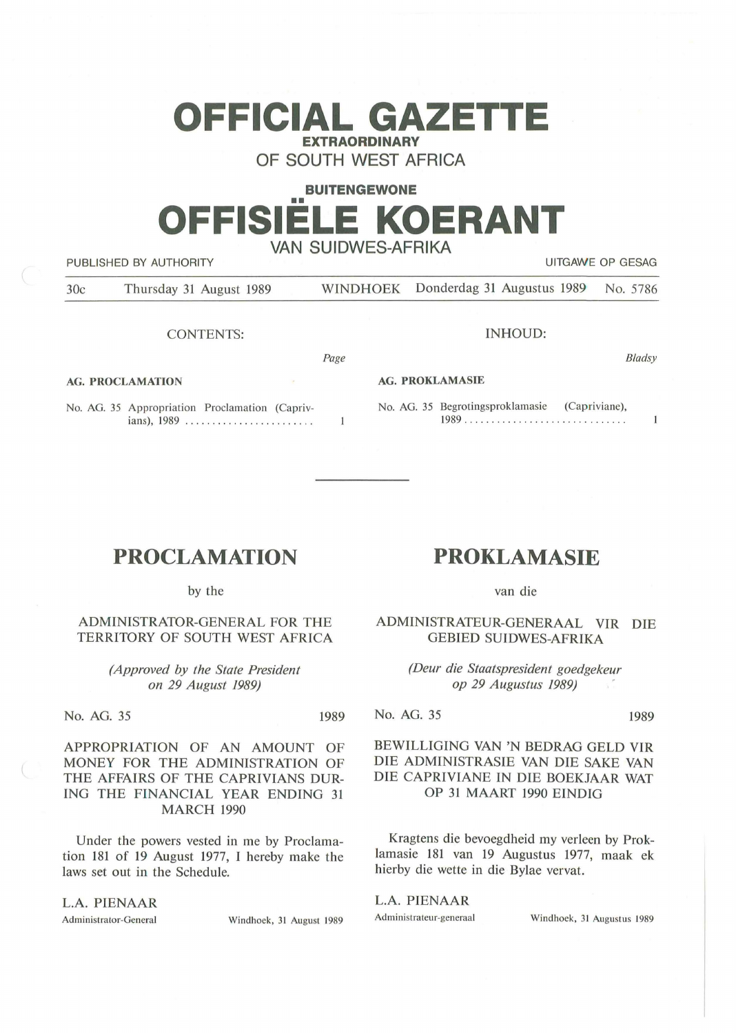# **OFFICIAL GAZETTE EXTRAORDINARY**

**OF SOUTH WEST AFRICA** 

# **BUITENGEWONE**  •• **OFFISIELE KOERANT VAN SUIDWES-AFRIKA**

PUBLISHED BY AUTHORITY **AUTHORITY Example 2018 12:30 THE SECOND METAL CONTRACT CONTRACT OF GESAGRAPHIC OF GESAGRAPHIC OF GESAGRAPHIC OF GESAGRAPHIC OF GESAGRAPHIC OF GESAGRAPHIC OF GESAGRAPHIC OF GESAGRAPHIC OF GESAGRAPH** 30c Thursday 31 August 1989 WINDHOEK Donderdag 31 Augustus 1989 No. 5786

### CONTENTS:

*Page* 

 $\mathbf{1}$ 

**AG. PROCLAMATION** 

No. AG. 35 Appropriation Proclamation (Caprivians), 1989 ..........................

INHOUD:

**AG. PROKLAMASIE** 

No. AG. 35 Begrotingsproklamasie (Capriviane), 1989 .................. . .......... .

# **PROCLAMATION**

by the

## ADMINISTRATOR-GENERAL FOR THE TERRITORY OF SOUTH WEST AFRICA

*(Approved by the State President on 29 August 1989)* 

No. AG. 35 1989

APPROPRIATION OF AN AMOUNT OF MONEY FOR THE ADMINISTRATION OF THE AFFAIRS OF THE CAPRIVIANS DUR-ING THE FINANCIAL YEAR ENDING 31 MARCH 1990

Under the powers vested in me by Proclamation 181 of 19 August 1977, I hereby make the laws set out in the Schedule.

#### L.A. PIENAAR

Administrator-General Windhoek, 31 August 1989

# **PROKLAMASIE**

van die

ADMINISTRATEUR-GENERAAL VIR DIE GEBIED SUIDWES-AFRIKA

> *(Deur die Staatspresident goedgekeur op 29 Augustus 1989)* ·

No. AG. 35 1989

*8 /adsy* 

 $\mathbf{1}$ 

## BEWILLIGING VAN 'N BEDRAG GELD VIR DIE ADMINISTRASIE VAN DIE SAKE VAN DIE CAPRIVIANE IN DIE BOEKJAAR WAT OP 31 MAART 1990 EINDIG

Kragtens die bevoegdheid my verleen by Proklamasie 181 van 19 Augustus 1977, maak ek hierby die wette in die Bylae vervat.

#### L.A. PIENAAR

Administrateur-generaal Windhoek, 31 Augustus 1989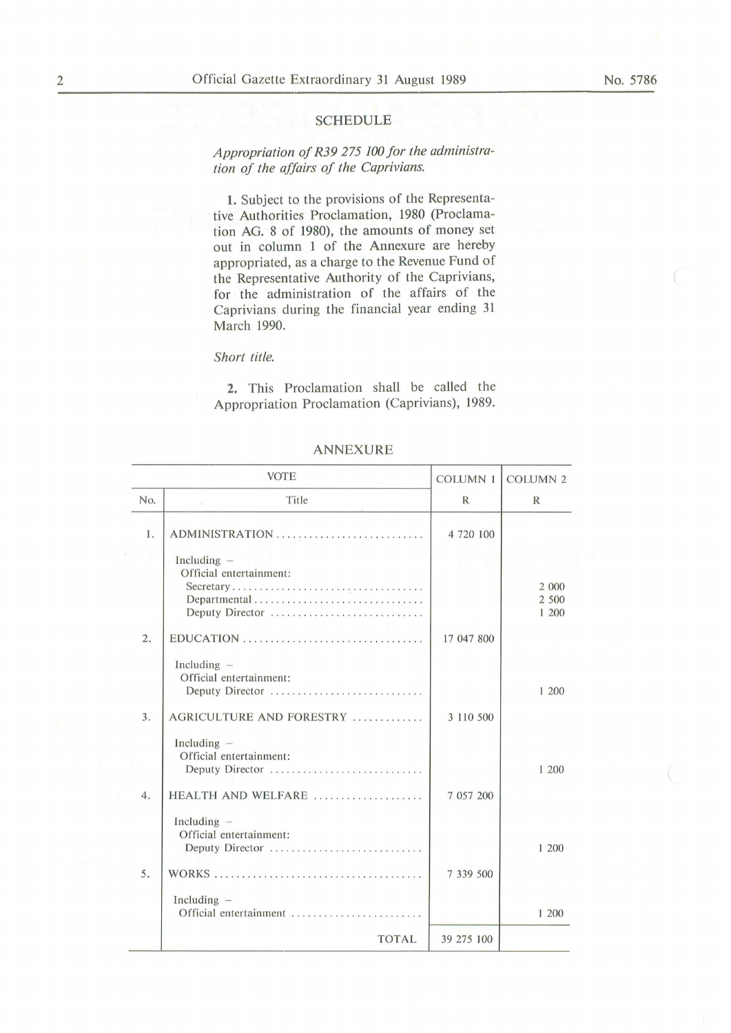#### **SCHEDULE**

# *Appropriation of R39 275 JOO for the administration of the affairs of the Caprivians.*

1. Subject to the provisions of the Representative Authorities Proclamation, 1980 (Proclamation AG. 8 of 1980), the amounts of money set out in column 1 of the Annexure are hereby appropriated, as a charge to the Revenue Fund of the Representative Authority of the Caprivians, for the administration of the affairs of the Caprivians during the financial year ending 31 March 1990.

#### *Short title.*

2. This Proclamation shall be called the Appropriation Proclamation (Caprivians), 1989.

|                  | <b>VOTE</b>                                                                                            | <b>COLUMN 1</b> | <b>COLUMN 2</b>         |
|------------------|--------------------------------------------------------------------------------------------------------|-----------------|-------------------------|
| No.              | Title                                                                                                  | $\mathbb{R}$    | $\mathbb{R}$            |
| 1.               | ADMINISTRATION                                                                                         | 4 720 100       |                         |
|                  | Including $-$<br>1, 1, 2, 3<br>Official entertainment:<br>Secretary<br>Departmental<br>Deputy Director |                 | 2 000<br>2 500<br>1 200 |
| 2.               |                                                                                                        | 17 047 800      |                         |
|                  | Including $-$<br>Official entertainment:<br>Deputy Director                                            |                 | 1 200                   |
| 3.               | AGRICULTURE AND FORESTRY                                                                               | 3 110 500       |                         |
| $\overline{4}$ . | Including $-$<br>Official entertainment:<br>Deputy Director<br>HEALTH AND WELFARE                      | 7 057 200       | 1 200                   |
|                  | Including $-$<br>Official entertainment:<br>Deputy Director                                            |                 | 1 200                   |
| 5.               |                                                                                                        | 7 339 500       |                         |
|                  | Including $-$<br>Official entertainment                                                                |                 | 1 200                   |
|                  | <b>TOTAL</b>                                                                                           | 39 275 100      |                         |

#### ANNEXURE